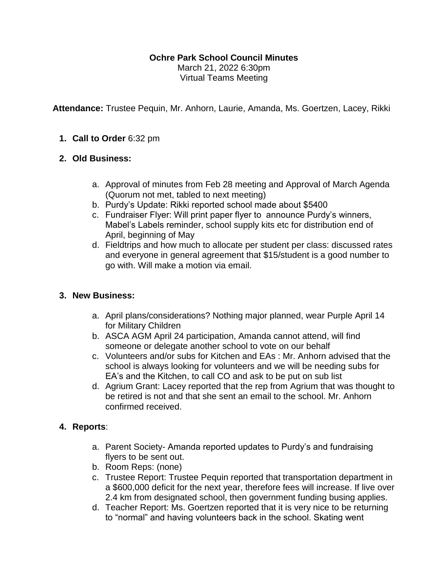# **Ochre Park School Council Minutes**

March 21, 2022 6:30pm Virtual Teams Meeting

**Attendance:** Trustee Pequin, Mr. Anhorn, Laurie, Amanda, Ms. Goertzen, Lacey, Rikki

## **1. Call to Order** 6:32 pm

## **2. Old Business:**

- a. Approval of minutes from Feb 28 meeting and Approval of March Agenda (Quorum not met, tabled to next meeting)
- b. Purdy's Update: Rikki reported school made about \$5400
- c. Fundraiser Flyer: Will print paper flyer to announce Purdy's winners, Mabel's Labels reminder, school supply kits etc for distribution end of April, beginning of May
- d. Fieldtrips and how much to allocate per student per class: discussed rates and everyone in general agreement that \$15/student is a good number to go with. Will make a motion via email.

## **3. New Business:**

- a. April plans/considerations? Nothing major planned, wear Purple April 14 for Military Children
- b. ASCA AGM April 24 participation, Amanda cannot attend, will find someone or delegate another school to vote on our behalf
- c. Volunteers and/or subs for Kitchen and EAs : Mr. Anhorn advised that the school is always looking for volunteers and we will be needing subs for EA's and the Kitchen, to call CO and ask to be put on sub list
- d. Agrium Grant: Lacey reported that the rep from Agrium that was thought to be retired is not and that she sent an email to the school. Mr. Anhorn confirmed received.

## **4. Reports**:

- a. Parent Society- Amanda reported updates to Purdy's and fundraising flyers to be sent out.
- b. Room Reps: (none)
- c. Trustee Report: Trustee Pequin reported that transportation department in a \$600,000 deficit for the next year, therefore fees will increase. If live over 2.4 km from designated school, then government funding busing applies.
- d. Teacher Report: Ms. Goertzen reported that it is very nice to be returning to "normal" and having volunteers back in the school. Skating went